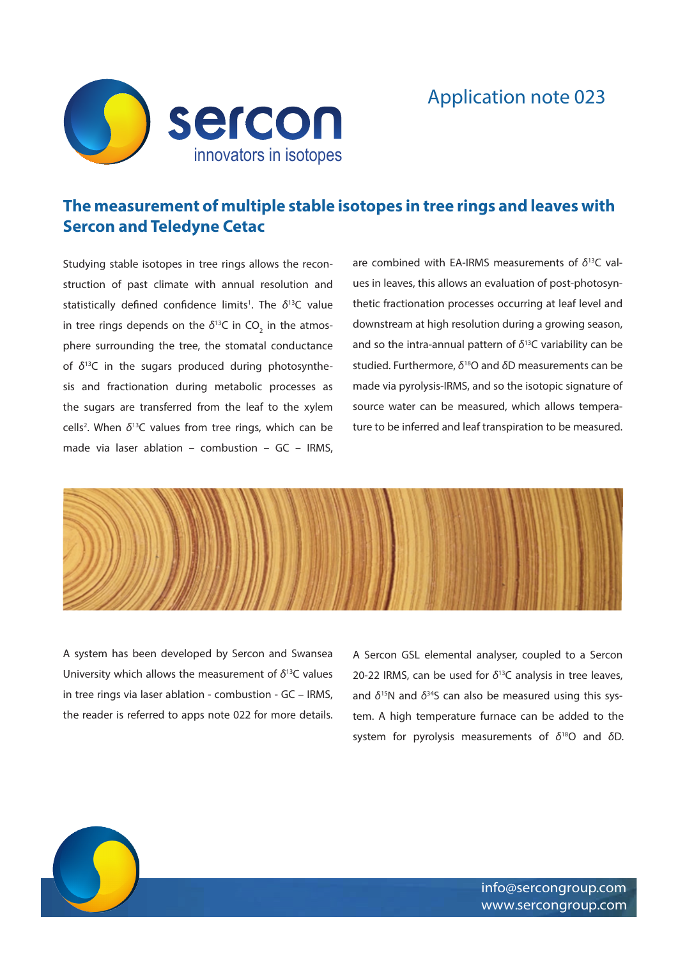

## Application note 023

## **The measurement of multiple stable isotopes in tree rings and leaves with Sercon and Teledyne Cetac**

Studying stable isotopes in tree rings allows the reconstruction of past climate with annual resolution and statistically defined confidence limits<sup>1</sup>. The δ<sup>13</sup>C value in tree rings depends on the  $\delta^{13}$ C in CO<sub>2</sub> in the atmosphere surrounding the tree, the stomatal conductance of *δ*13C in the sugars produced during photosynthesis and fractionation during metabolic processes as the sugars are transferred from the leaf to the xylem cells<sup>2</sup>. When δ<sup>13</sup>C values from tree rings, which can be made via laser ablation – combustion – GC – IRMS, are combined with EA-IRMS measurements of *δ*13C values in leaves, this allows an evaluation of post-photosynthetic fractionation processes occurring at leaf level and downstream at high resolution during a growing season, and so the intra-annual pattern of *δ*13C variability can be studied. Furthermore, *δ*18O and *δ*D measurements can be made via pyrolysis-IRMS, and so the isotopic signature of source water can be measured, which allows temperature to be inferred and leaf transpiration to be measured.



A system has been developed by Sercon and Swansea University which allows the measurement of *δ*13C values in tree rings via laser ablation - combustion - GC – IRMS, the reader is referred to apps note 022 for more details. A Sercon GSL elemental analyser, coupled to a Sercon 20-22 IRMS, can be used for *δ*13C analysis in tree leaves, and *δ*15N and *δ*34S can also be measured using this system. A high temperature furnace can be added to the system for pyrolysis measurements of *δ*18O and *δ*D.